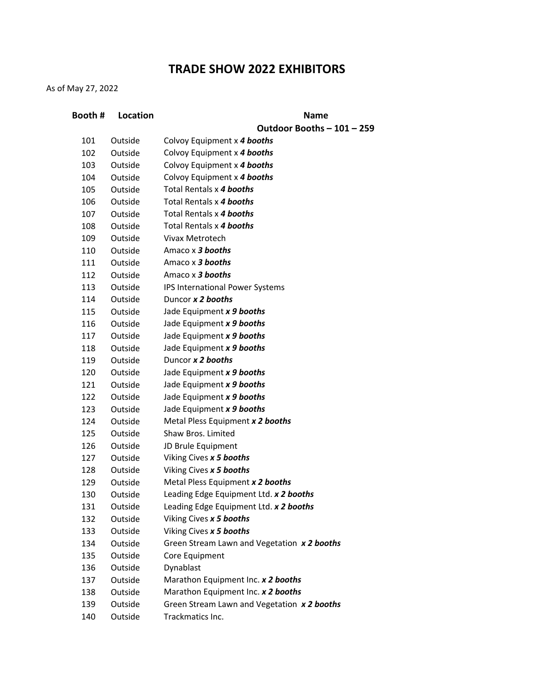## **TRADE SHOW 2022 EXHIBITORS**

As of May 27, 2022

| Booth # | Location | <b>Name</b>                                 |
|---------|----------|---------------------------------------------|
|         |          | Outdoor Booths - 101 - 259                  |
| 101     | Outside  | Colvoy Equipment x 4 booths                 |
| 102     | Outside  | Colvoy Equipment x 4 booths                 |
| 103     | Outside  | Colvoy Equipment x 4 booths                 |
| 104     | Outside  | Colvoy Equipment x 4 booths                 |
| 105     | Outside  | Total Rentals x 4 booths                    |
| 106     | Outside  | Total Rentals x 4 booths                    |
| 107     | Outside  | Total Rentals x 4 booths                    |
| 108     | Outside  | Total Rentals x 4 booths                    |
| 109     | Outside  | <b>Vivax Metrotech</b>                      |
| 110     | Outside  | Amaco x 3 booths                            |
| 111     | Outside  | Amaco x 3 booths                            |
| 112     | Outside  | Amaco x 3 booths                            |
| 113     | Outside  | IPS International Power Systems             |
| 114     | Outside  | Duncor x 2 booths                           |
| 115     | Outside  | Jade Equipment x 9 booths                   |
| 116     | Outside  | Jade Equipment x 9 booths                   |
| 117     | Outside  | Jade Equipment x 9 booths                   |
| 118     | Outside  | Jade Equipment x 9 booths                   |
| 119     | Outside  | Duncor x 2 booths                           |
| 120     | Outside  | Jade Equipment x 9 booths                   |
| 121     | Outside  | Jade Equipment x 9 booths                   |
| 122     | Outside  | Jade Equipment x 9 booths                   |
| 123     | Outside  | Jade Equipment x 9 booths                   |
| 124     | Outside  | Metal Pless Equipment x 2 booths            |
| 125     | Outside  | Shaw Bros. Limited                          |
| 126     | Outside  | JD Brule Equipment                          |
| 127     | Outside  | Viking Cives x 5 booths                     |
| 128     | Outside  | Viking Cives x 5 booths                     |
| 129     | Outside  | Metal Pless Equipment x 2 booths            |
| 130     | Outside  | Leading Edge Equipment Ltd. x 2 booths      |
| 131     | Outside  | Leading Edge Equipment Ltd. x 2 booths      |
| 132     | Outside  | Viking Cives x 5 booths                     |
| 133     | Outside  | Viking Cives x 5 booths                     |
| 134     | Outside  | Green Stream Lawn and Vegetation x 2 booths |
| 135     | Outside  | Core Equipment                              |
| 136     | Outside  | Dynablast                                   |
| 137     | Outside  | Marathon Equipment Inc. x 2 booths          |
| 138     | Outside  | Marathon Equipment Inc. x 2 booths          |
| 139     | Outside  | Green Stream Lawn and Vegetation x 2 booths |
| 140     | Outside  | Trackmatics Inc.                            |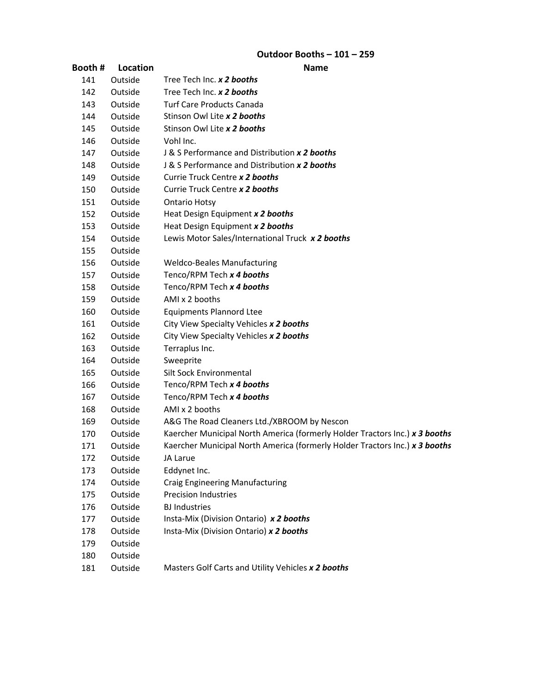# **Outdoor Booths – 101 – 259**

|        |          | นเนบบเ มบบเเเง<br>- 101                                                     |
|--------|----------|-----------------------------------------------------------------------------|
| Booth# | Location | <b>Name</b>                                                                 |
| 141    | Outside  | Tree Tech Inc. x 2 booths                                                   |
| 142    | Outside  | Tree Tech Inc. x 2 booths                                                   |
| 143    | Outside  | <b>Turf Care Products Canada</b>                                            |
| 144    | Outside  | Stinson Owl Lite x 2 booths                                                 |
| 145    | Outside  | Stinson Owl Lite x 2 booths                                                 |
| 146    | Outside  | Vohl Inc.                                                                   |
| 147    | Outside  | J & S Performance and Distribution x 2 booths                               |
| 148    | Outside  | J & S Performance and Distribution x 2 booths                               |
| 149    | Outside  | Currie Truck Centre x 2 booths                                              |
| 150    | Outside  | Currie Truck Centre x 2 booths                                              |
| 151    | Outside  | <b>Ontario Hotsy</b>                                                        |
| 152    | Outside  | Heat Design Equipment x 2 booths                                            |
| 153    | Outside  | Heat Design Equipment x 2 booths                                            |
| 154    | Outside  | Lewis Motor Sales/International Truck x 2 booths                            |
| 155    | Outside  |                                                                             |
| 156    | Outside  | <b>Weldco-Beales Manufacturing</b>                                          |
| 157    | Outside  | Tenco/RPM Tech x 4 booths                                                   |
| 158    | Outside  | Tenco/RPM Tech x 4 booths                                                   |
| 159    | Outside  | AMI x 2 booths                                                              |
| 160    | Outside  | <b>Equipments Plannord Ltee</b>                                             |
| 161    | Outside  | City View Specialty Vehicles x 2 booths                                     |
| 162    | Outside  | City View Specialty Vehicles x 2 booths                                     |
| 163    | Outside  | Terraplus Inc.                                                              |
| 164    | Outside  | Sweeprite                                                                   |
| 165    | Outside  | <b>Silt Sock Environmental</b>                                              |
| 166    | Outside  | Tenco/RPM Tech x 4 booths                                                   |
| 167    | Outside  | Tenco/RPM Tech x 4 booths                                                   |
| 168    | Outside  | AMI x 2 booths                                                              |
| 169    | Outside  | A&G The Road Cleaners Ltd./XBROOM by Nescon                                 |
| 170    | Outside  | Kaercher Municipal North America (formerly Holder Tractors Inc.) x 3 booths |
| 171    | Outside  | Kaercher Municipal North America (formerly Holder Tractors Inc.) x 3 booths |
| 172    | Outside  | JA Larue                                                                    |
| 173    | Outside  | Eddynet Inc.                                                                |
| 174    | Outside  | <b>Craig Engineering Manufacturing</b>                                      |
| 175    | Outside  | <b>Precision Industries</b>                                                 |
| 176    | Outside  | <b>BJ</b> Industries                                                        |
| 177    | Outside  | Insta-Mix (Division Ontario) x 2 booths                                     |
| 178    | Outside  | Insta-Mix (Division Ontario) x 2 booths                                     |
| 179    | Outside  |                                                                             |
| 180    | Outside  |                                                                             |
| 181    | Outside  | Masters Golf Carts and Utility Vehicles x 2 booths                          |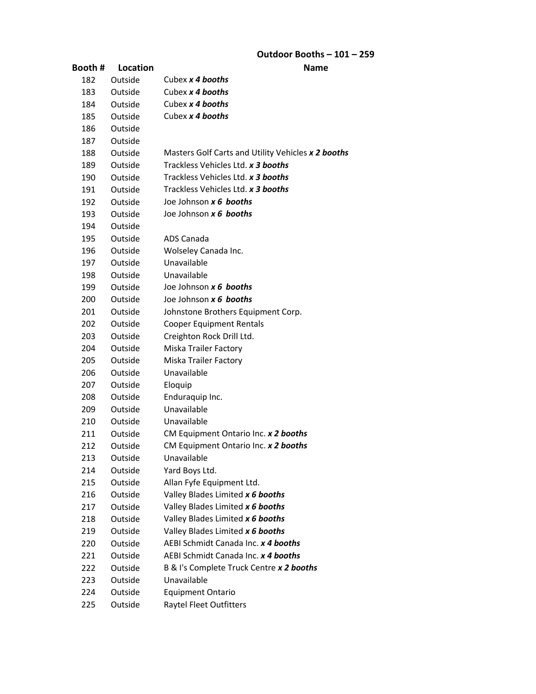| Booth # | Location | Name                                                                    |
|---------|----------|-------------------------------------------------------------------------|
| 182     | Outside  | Cubex x 4 booths                                                        |
| 183     | Outside  | Cubex x 4 booths                                                        |
| 184     | Outside  | Cubex x 4 booths                                                        |
| 185     | Outside  | Cubex x 4 booths                                                        |
| 186     | Outside  |                                                                         |
| 187     | Outside  |                                                                         |
| 188     | Outside  | Masters Golf Carts and Utility Vehicles x 2 booths                      |
| 189     | Outside  | Trackless Vehicles Ltd. x 3 booths                                      |
| 190     | Outside  | Trackless Vehicles Ltd. x 3 booths                                      |
| 191     | Outside  | Trackless Vehicles Ltd. x 3 booths                                      |
| 192     | Outside  | Joe Johnson x 6 booths                                                  |
| 193     | Outside  | Joe Johnson x 6 booths                                                  |
| 194     | Outside  |                                                                         |
| 195     | Outside  | ADS Canada                                                              |
| 196     | Outside  | Wolseley Canada Inc.                                                    |
| 197     | Outside  | Unavailable                                                             |
| 198     | Outside  | Unavailable                                                             |
| 199     | Outside  | Joe Johnson x 6 booths                                                  |
| 200     | Outside  | Joe Johnson x 6 booths                                                  |
| 201     | Outside  | Johnstone Brothers Equipment Corp.                                      |
| 202     | Outside  | <b>Cooper Equipment Rentals</b>                                         |
| 203     | Outside  | Creighton Rock Drill Ltd.                                               |
| 204     | Outside  | <b>Miska Trailer Factory</b>                                            |
| 205     | Outside  | <b>Miska Trailer Factory</b>                                            |
| 206     | Outside  | Unavailable                                                             |
| 207     | Outside  | Eloquip                                                                 |
| 208     | Outside  | Enduraquip Inc.                                                         |
| 209     | Outside  | Unavailable                                                             |
| 210     | Outside  | Unavailable                                                             |
| 211     | Outside  | CM Equipment Ontario Inc. x 2 booths                                    |
| 212     | Outside  | CM Equipment Ontario Inc. x 2 booths                                    |
| 213     | Outside  | Unavailable                                                             |
| 214     | Outside  | Yard Boys Ltd.                                                          |
| 215     | Outside  | Allan Fyfe Equipment Ltd.                                               |
| 216     | Outside  | Valley Blades Limited x 6 booths                                        |
| 217     | Outside  | Valley Blades Limited x 6 booths                                        |
| 218     | Outside  | Valley Blades Limited x 6 booths                                        |
| 219     | Outside  | Valley Blades Limited x 6 booths<br>AEBI Schmidt Canada Inc. x 4 booths |
| 220     | Outside  |                                                                         |
| 221     | Outside  | AEBI Schmidt Canada Inc. x 4 booths                                     |
| 222     | Outside  | B & I's Complete Truck Centre x 2 booths                                |
| 223     | Outside  | Unavailable                                                             |
| 224     | Outside  | <b>Equipment Ontario</b>                                                |
| 225     | Outside  | <b>Raytel Fleet Outfitters</b>                                          |

#### **Outdoor Booths – 101 – 259**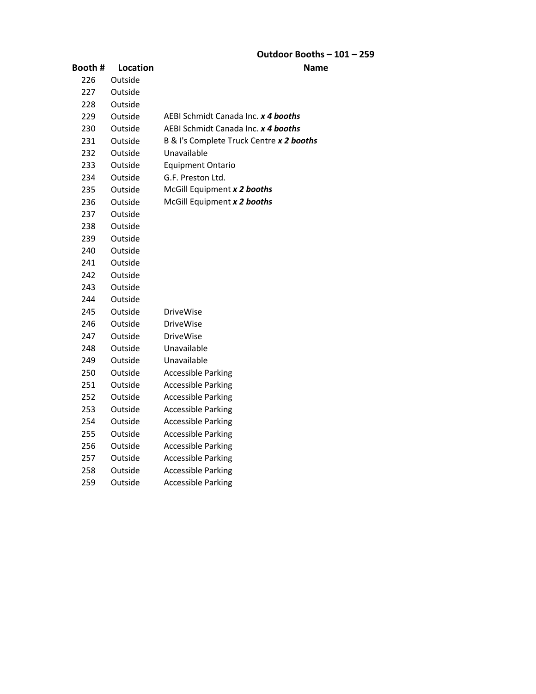### **Outdoor Booths – 101 – 259**

| Booth# | Location | <b>Name</b>                              |
|--------|----------|------------------------------------------|
| 226    | Outside  |                                          |
| 227    | Outside  |                                          |
| 228    | Outside  |                                          |
| 229    | Outside  | AEBI Schmidt Canada Inc. x 4 booths      |
| 230    | Outside  | AEBI Schmidt Canada Inc. x 4 booths      |
| 231    | Outside  | B & I's Complete Truck Centre x 2 booths |
| 232    | Outside  | Unavailable                              |
| 233    | Outside  | <b>Equipment Ontario</b>                 |
| 234    | Outside  | G.F. Preston Ltd.                        |
| 235    | Outside  | McGill Equipment x 2 booths              |
| 236    | Outside  | McGill Equipment x 2 booths              |
| 237    | Outside  |                                          |
| 238    | Outside  |                                          |
| 239    | Outside  |                                          |
| 240    | Outside  |                                          |
| 241    | Outside  |                                          |
| 242    | Outside  |                                          |
| 243    | Outside  |                                          |
| 244    | Outside  |                                          |
| 245    | Outside  | <b>DriveWise</b>                         |
| 246    | Outside  | <b>DriveWise</b>                         |
| 247    | Outside  | <b>DriveWise</b>                         |
| 248    | Outside  | Unavailable                              |
| 249    | Outside  | Unavailable                              |
| 250    | Outside  | <b>Accessible Parking</b>                |
| 251    | Outside  | <b>Accessible Parking</b>                |
| 252    | Outside  | <b>Accessible Parking</b>                |
| 253    | Outside  | <b>Accessible Parking</b>                |
| 254    | Outside  | <b>Accessible Parking</b>                |
| 255    | Outside  | <b>Accessible Parking</b>                |
| 256    | Outside  | <b>Accessible Parking</b>                |
| 257    | Outside  | <b>Accessible Parking</b>                |
| 258    | Outside  | <b>Accessible Parking</b>                |
| 259    | Outside  | <b>Accessible Parking</b>                |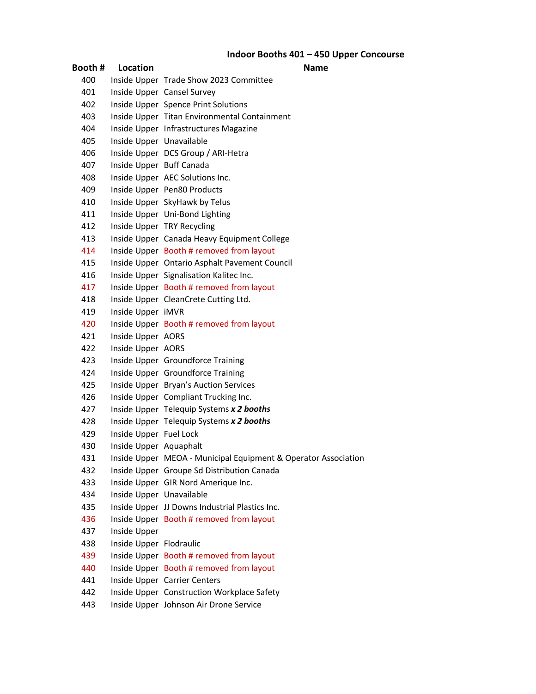### **Indoor Booths 401 – 450 Upper Concourse**

| Booth #    | Location                 | Name                                                           |
|------------|--------------------------|----------------------------------------------------------------|
| 400        |                          | Inside Upper Trade Show 2023 Committee                         |
| 401        |                          | Inside Upper Cansel Survey                                     |
| 402        |                          | Inside Upper Spence Print Solutions                            |
| 403        |                          | Inside Upper Titan Environmental Containment                   |
| 404        |                          | Inside Upper Infrastructures Magazine                          |
| 405        | Inside Upper Unavailable |                                                                |
| 406        |                          | Inside Upper DCS Group / ARI-Hetra                             |
| 407        | Inside Upper Buff Canada |                                                                |
| 408        |                          | Inside Upper AEC Solutions Inc.                                |
| 409        |                          | Inside Upper Pen80 Products                                    |
| 410        |                          | Inside Upper SkyHawk by Telus                                  |
| 411        |                          | Inside Upper Uni-Bond Lighting                                 |
| 412        |                          | Inside Upper TRY Recycling                                     |
| 413        |                          | Inside Upper Canada Heavy Equipment College                    |
| 414        |                          | Inside Upper Booth # removed from layout                       |
| 415        |                          | Inside Upper Ontario Asphalt Pavement Council                  |
| 416        |                          | Inside Upper Signalisation Kalitec Inc.                        |
| 417        |                          | Inside Upper Booth # removed from layout                       |
| 418        |                          | Inside Upper CleanCrete Cutting Ltd.                           |
| 419        | Inside Upper iMVR        |                                                                |
| 420        |                          | Inside Upper Booth # removed from layout                       |
| 421        | Inside Upper AORS        |                                                                |
| 422        | Inside Upper AORS        |                                                                |
| 423        |                          | Inside Upper Groundforce Training                              |
| 424        |                          | Inside Upper Groundforce Training                              |
| 425        |                          | Inside Upper Bryan's Auction Services                          |
| 426        |                          | Inside Upper Compliant Trucking Inc.                           |
| 427        |                          | Inside Upper Telequip Systems x 2 booths                       |
| 428<br>429 |                          | Inside Upper Telequip Systems x 2 booths                       |
| 430        | Inside Upper Fuel Lock   |                                                                |
| 431        | Inside Upper Aquaphalt   | Inside Upper MEOA - Municipal Equipment & Operator Association |
| 432        |                          | Inside Upper Groupe Sd Distribution Canada                     |
| 433        |                          | Inside Upper GIR Nord Amerique Inc.                            |
| 434        | Inside Upper Unavailable |                                                                |
| 435        |                          | Inside Upper JJ Downs Industrial Plastics Inc.                 |
| 436        |                          | Inside Upper Booth # removed from layout                       |
| 437        | Inside Upper             |                                                                |
| 438        | Inside Upper Flodraulic  |                                                                |
| 439        |                          | Inside Upper Booth # removed from layout                       |
| 440        |                          | Inside Upper Booth # removed from layout                       |
| 441        |                          | Inside Upper Carrier Centers                                   |
| 442        |                          | Inside Upper Construction Workplace Safety                     |
| 443        |                          | Inside Upper Johnson Air Drone Service                         |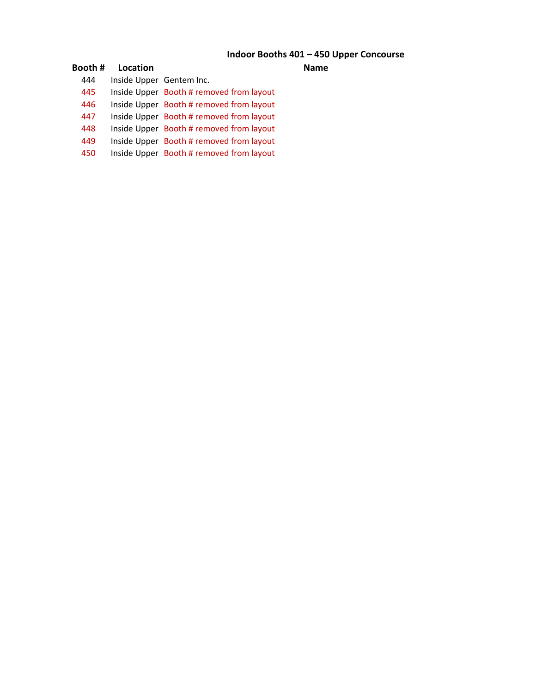### **Indoor Booths 401 – 450 Upper Concourse**

| Booth# | Location                 |                                          | Name |
|--------|--------------------------|------------------------------------------|------|
| 444    | Inside Upper Gentem Inc. |                                          |      |
| 445    |                          | Inside Upper Booth # removed from layout |      |
| 446    |                          | Inside Upper Booth # removed from layout |      |
| 447    |                          | Inside Upper Booth # removed from layout |      |
| 448    |                          | Inside Upper Booth # removed from layout |      |
| 449    |                          | Inside Upper Booth # removed from layout |      |
| 450    |                          | Inside Upper Booth # removed from layout |      |
|        |                          |                                          |      |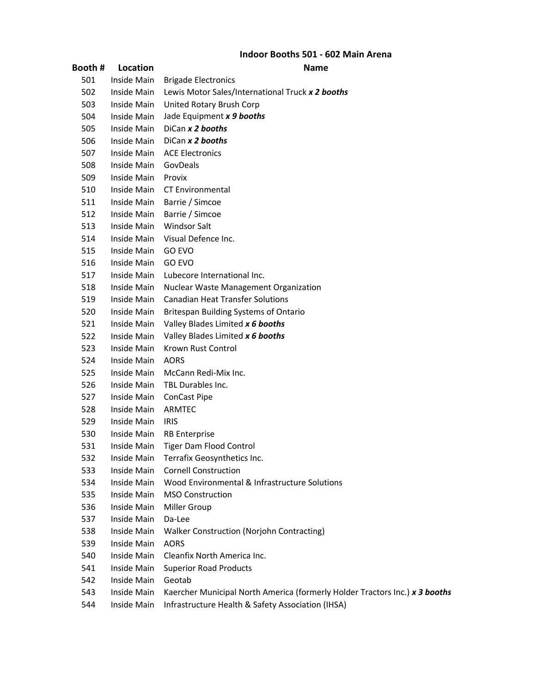### **Indoor Booths 501 - 602 Main Arena**

#### **Booth # Location Name**

| 501 | Inside Main | <b>Brigade Electronics</b>                                                  |
|-----|-------------|-----------------------------------------------------------------------------|
| 502 | Inside Main | Lewis Motor Sales/International Truck x 2 booths                            |
| 503 | Inside Main | United Rotary Brush Corp                                                    |
| 504 | Inside Main | Jade Equipment x 9 booths                                                   |
| 505 | Inside Main | DiCan x 2 booths                                                            |
| 506 | Inside Main | DiCan x 2 booths                                                            |
| 507 | Inside Main | <b>ACE Electronics</b>                                                      |
| 508 | Inside Main | GovDeals                                                                    |
| 509 | Inside Main | Provix                                                                      |
| 510 | Inside Main | <b>CT Environmental</b>                                                     |
| 511 | Inside Main | Barrie / Simcoe                                                             |
| 512 | Inside Main | Barrie / Simcoe                                                             |
| 513 | Inside Main | <b>Windsor Salt</b>                                                         |
| 514 | Inside Main | Visual Defence Inc.                                                         |
| 515 | Inside Main | GO EVO                                                                      |
| 516 | Inside Main | GO EVO                                                                      |
| 517 | Inside Main | Lubecore International Inc.                                                 |
| 518 | Inside Main | <b>Nuclear Waste Management Organization</b>                                |
| 519 | Inside Main | <b>Canadian Heat Transfer Solutions</b>                                     |
| 520 | Inside Main | <b>Britespan Building Systems of Ontario</b>                                |
| 521 | Inside Main | Valley Blades Limited x 6 booths                                            |
| 522 | Inside Main | Valley Blades Limited x 6 booths                                            |
| 523 | Inside Main | Krown Rust Control                                                          |
| 524 | Inside Main | <b>AORS</b>                                                                 |
| 525 | Inside Main | McCann Redi-Mix Inc.                                                        |
| 526 | Inside Main | TBL Durables Inc.                                                           |
| 527 | Inside Main | <b>ConCast Pipe</b>                                                         |
| 528 | Inside Main | ARMTEC                                                                      |
| 529 | Inside Main | <b>IRIS</b>                                                                 |
| 530 | Inside Main | <b>RB</b> Enterprise                                                        |
| 531 | Inside Main | Tiger Dam Flood Control                                                     |
| 532 | Inside Main | Terrafix Geosynthetics Inc.                                                 |
| 533 | Inside Main | <b>Cornell Construction</b>                                                 |
| 534 | Inside Main | Wood Environmental & Infrastructure Solutions                               |
| 535 | Inside Main | <b>MSO Construction</b>                                                     |
| 536 | Inside Main | Miller Group                                                                |
| 537 | Inside Main | Da-Lee                                                                      |
| 538 | Inside Main | <b>Walker Construction (Norjohn Contracting)</b>                            |
| 539 | Inside Main | <b>AORS</b>                                                                 |
| 540 | Inside Main | Cleanfix North America Inc.                                                 |
| 541 | Inside Main | <b>Superior Road Products</b>                                               |
| 542 | Inside Main | Geotab                                                                      |
| 543 | Inside Main | Kaercher Municipal North America (formerly Holder Tractors Inc.) x 3 booths |
| 544 | Inside Main | Infrastructure Health & Safety Association (IHSA)                           |
|     |             |                                                                             |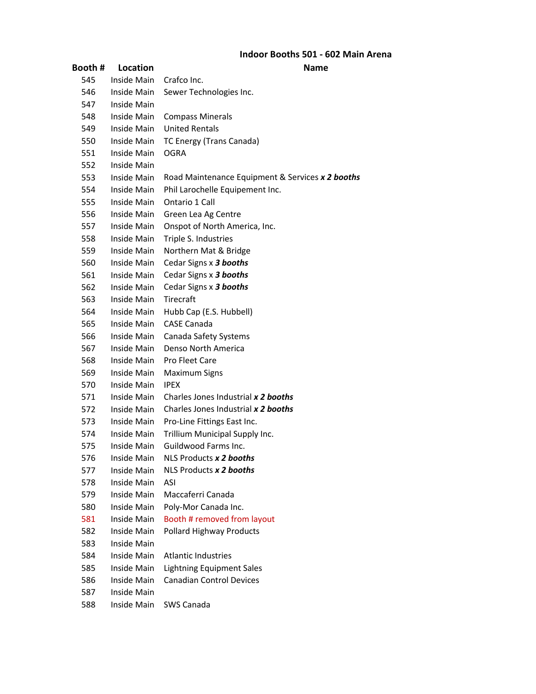### **Indoor Booths 501 - 602 Main Arena**

| Booth # | Location           | Name                                             |
|---------|--------------------|--------------------------------------------------|
| 545     | Inside Main        | Crafco Inc.                                      |
| 546     | <b>Inside Main</b> | Sewer Technologies Inc.                          |
| 547     | Inside Main        |                                                  |
| 548     | Inside Main        | <b>Compass Minerals</b>                          |
| 549     | Inside Main        | <b>United Rentals</b>                            |
| 550     | Inside Main        | TC Energy (Trans Canada)                         |
| 551     | Inside Main        | <b>OGRA</b>                                      |
| 552     | Inside Main        |                                                  |
| 553     | Inside Main        | Road Maintenance Equipment & Services x 2 booths |
| 554     | Inside Main        | Phil Larochelle Equipement Inc.                  |
| 555     | Inside Main        | Ontario 1 Call                                   |
| 556     | Inside Main        | Green Lea Ag Centre                              |
| 557     | Inside Main        | Onspot of North America, Inc.                    |
| 558     | Inside Main        | Triple S. Industries                             |
| 559     | Inside Main        | Northern Mat & Bridge                            |
| 560     | Inside Main        | Cedar Signs x 3 booths                           |
| 561     | Inside Main        | Cedar Signs x 3 booths                           |
| 562     | Inside Main        | Cedar Signs x 3 booths                           |
| 563     | Inside Main        | <b>Tirecraft</b>                                 |
| 564     | Inside Main        | Hubb Cap (E.S. Hubbell)                          |
| 565     | Inside Main        | <b>CASE Canada</b>                               |
| 566     | Inside Main        | Canada Safety Systems                            |
| 567     | Inside Main        | Denso North America                              |
| 568     | Inside Main        | <b>Pro Fleet Care</b>                            |
| 569     | Inside Main        | <b>Maximum Signs</b>                             |
| 570     | Inside Main        | <b>IPEX</b>                                      |
| 571     | Inside Main        | Charles Jones Industrial x 2 booths              |
| 572     | Inside Main        | Charles Jones Industrial x 2 booths              |
| 573     | Inside Main        | Pro-Line Fittings East Inc.                      |
| 574     | Inside Main        | Trillium Municipal Supply Inc.                   |
| 575     | Inside Main        | <b>Guildwood Farms Inc.</b>                      |
| 576     | Inside Main        | NLS Products x 2 booths                          |
| 577     | <b>Inside Main</b> | NLS Products x 2 booths                          |
| 578     | Inside Main        | ASI                                              |
| 579     | Inside Main        | Maccaferri Canada                                |
| 580     | Inside Main        | Poly-Mor Canada Inc.                             |
| 581     | Inside Main        | Booth # removed from layout                      |
| 582     | <b>Inside Main</b> | Pollard Highway Products                         |
| 583     | Inside Main        |                                                  |
| 584     | Inside Main        | <b>Atlantic Industries</b>                       |
| 585     | Inside Main        | <b>Lightning Equipment Sales</b>                 |
| 586     | Inside Main        | <b>Canadian Control Devices</b>                  |
| 587     | Inside Main        |                                                  |
| 588     | Inside Main        | SWS Canada                                       |